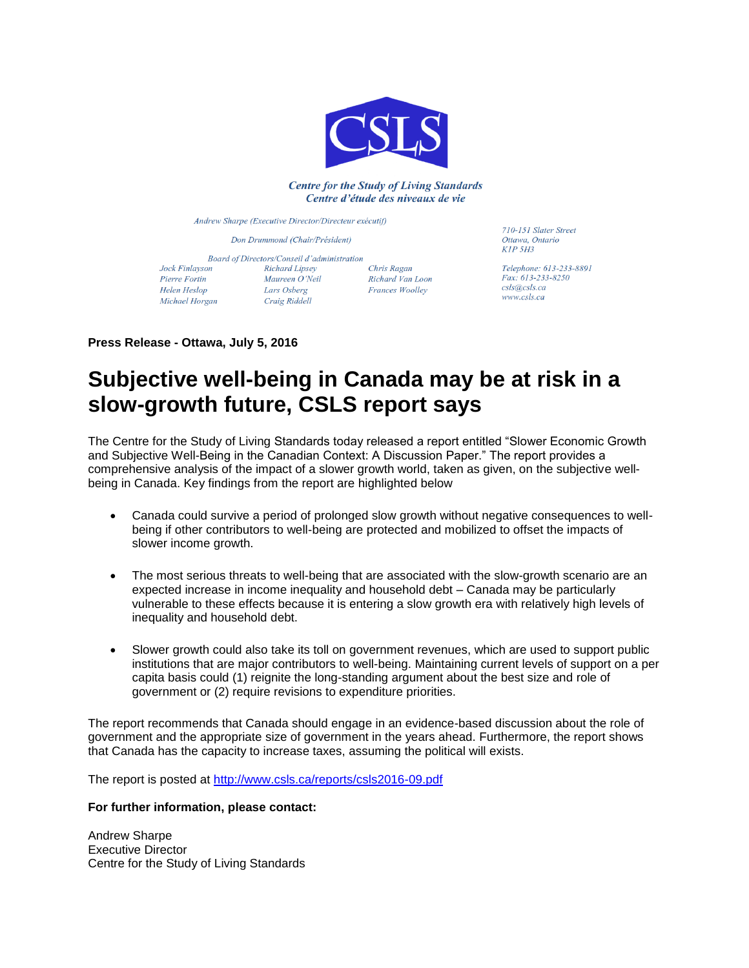

## **Centre for the Study of Living Standards** Centre d'étude des niveaux de vie

Andrew Sharpe (Executive Director/Directeur exécutif)

Don Drummond (Chair/Président)

Jock Finlayson Pierre Fortin Helen Heslop Michael Horgan

Board of Directors/Conseil d'administration Richard Lipsey Chris Ragan Maureen O'Neil Maureen O *Neu*<br>Lars Osberg Craig Riddell

Richard Van Loon **Frances Woolley** 

710-151 Slater Street Ottawa, Ontario  $KIP$  5 $H3$ 

Telephone: 613-233-8891 Fax: 613-233-8250 csls@csls.ca www.csls.ca

**Press Release - Ottawa, July 5, 2016**

## **Subjective well-being in Canada may be at risk in a slow-growth future, CSLS report says**

The Centre for the Study of Living Standards today released a report entitled "Slower Economic Growth and Subjective Well-Being in the Canadian Context: A Discussion Paper." The report provides a comprehensive analysis of the impact of a slower growth world, taken as given, on the subjective wellbeing in Canada. Key findings from the report are highlighted below

- Canada could survive a period of prolonged slow growth without negative consequences to wellbeing if other contributors to well-being are protected and mobilized to offset the impacts of slower income growth.
- The most serious threats to well-being that are associated with the slow-growth scenario are an expected increase in income inequality and household debt – Canada may be particularly vulnerable to these effects because it is entering a slow growth era with relatively high levels of inequality and household debt.
- Slower growth could also take its toll on government revenues, which are used to support public institutions that are major contributors to well-being. Maintaining current levels of support on a per capita basis could (1) reignite the long-standing argument about the best size and role of government or (2) require revisions to expenditure priorities.

The report recommends that Canada should engage in an evidence-based discussion about the role of government and the appropriate size of government in the years ahead. Furthermore, the report shows that Canada has the capacity to increase taxes, assuming the political will exists.

The report is posted at<http://www.csls.ca/reports/csls2016-09.pdf>

## **For further information, please contact:**

Andrew Sharpe Executive Director Centre for the Study of Living Standards